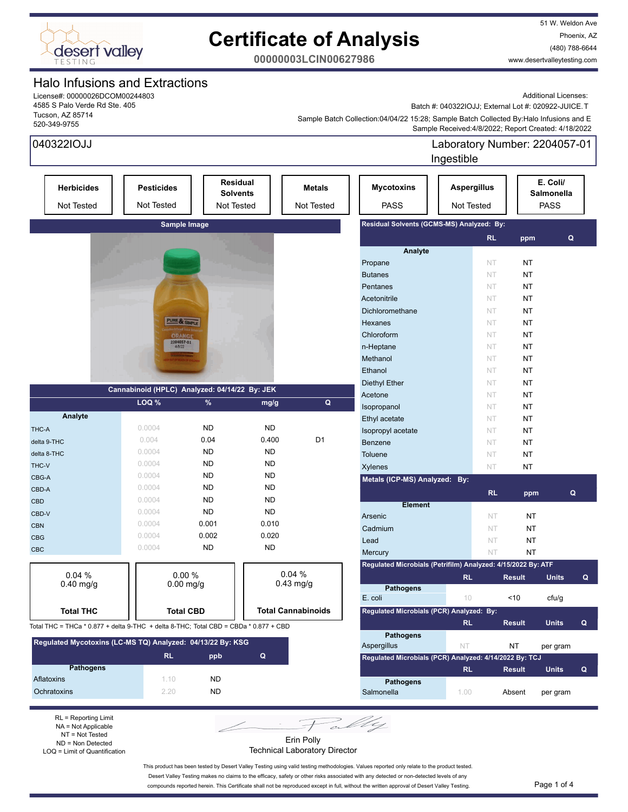

51 W. Weldon Ave Phoenix, AZ (480) 788-6644 www.desertvalleytesting.com

**00000003LCIN00627986**

### Halo Infusions and Extractions

License#: 00000026DCOM00244803 4585 S Palo Verde Rd Ste. 405 Tucson, AZ 85714 520-349-9755

Additional Licenses: Batch #: 040322IOJJ; External Lot #: 020922-JUICE.T

 Sample Received:4/8/2022; Report Created: 4/18/2022 Sample Batch Collection:04/04/22 15:28; Sample Batch Collected By:Halo Infusions and E

| 040322IOJJ                                                                           |                                               |                  |                                           |                             |                                                              | Laboratory Number: 2204057-01<br>Ingestible |           |               |                                       |   |
|--------------------------------------------------------------------------------------|-----------------------------------------------|------------------|-------------------------------------------|-----------------------------|--------------------------------------------------------------|---------------------------------------------|-----------|---------------|---------------------------------------|---|
| <b>Herbicides</b><br>Not Tested                                                      | <b>Pesticides</b><br>Not Tested               |                  | Residual<br><b>Solvents</b><br>Not Tested | <b>Metals</b><br>Not Tested | <b>Mycotoxins</b><br><b>PASS</b>                             | <b>Aspergillus</b><br>Not Tested            |           |               | E. Coli/<br>Salmonella<br><b>PASS</b> |   |
|                                                                                      | Sample Image                                  |                  |                                           |                             | Residual Solvents (GCMS-MS) Analyzed: By:                    |                                             |           |               |                                       |   |
|                                                                                      |                                               |                  |                                           |                             |                                                              |                                             | <b>RL</b> | ppm           | Q                                     |   |
|                                                                                      |                                               |                  |                                           |                             | Analyte                                                      |                                             |           |               |                                       |   |
|                                                                                      |                                               |                  |                                           |                             | Propane                                                      |                                             | NT        | <b>NT</b>     |                                       |   |
|                                                                                      |                                               |                  |                                           |                             | <b>Butanes</b>                                               |                                             | NT        | <b>NT</b>     |                                       |   |
|                                                                                      |                                               |                  |                                           |                             | Pentanes                                                     |                                             | NT        | NT            |                                       |   |
|                                                                                      |                                               |                  |                                           |                             | Acetonitrile                                                 |                                             | NT        | NT            |                                       |   |
|                                                                                      |                                               |                  |                                           |                             | Dichloromethane                                              |                                             | NT        | NT            |                                       |   |
|                                                                                      | PURE & SIMPLE                                 |                  |                                           |                             | Hexanes                                                      |                                             | NT        | NT            |                                       |   |
|                                                                                      | <b>ORANGI</b>                                 |                  |                                           |                             | Chloroform                                                   |                                             | NT        | NT            |                                       |   |
|                                                                                      | 2204057-01<br>4/8/22                          |                  |                                           |                             | n-Heptane                                                    |                                             | NT        | NT            |                                       |   |
|                                                                                      |                                               |                  |                                           |                             | Methanol                                                     |                                             | NT        | NT            |                                       |   |
|                                                                                      |                                               |                  |                                           |                             | Ethanol                                                      |                                             | NT        | NT            |                                       |   |
|                                                                                      |                                               |                  |                                           |                             |                                                              |                                             | NT        |               |                                       |   |
|                                                                                      | Cannabinoid (HPLC) Analyzed: 04/14/22 By: JEK |                  |                                           |                             | <b>Diethyl Ether</b><br>Acetone                              |                                             |           | NT            |                                       |   |
|                                                                                      | LOQ %                                         | %                | mg/g                                      | $\mathbf Q$                 |                                                              |                                             | NT        | NT            |                                       |   |
| Analyte                                                                              |                                               |                  |                                           |                             | Isopropanol                                                  |                                             | NT        | NT            |                                       |   |
|                                                                                      | 0.0004                                        | <b>ND</b>        | <b>ND</b>                                 |                             | Ethyl acetate                                                |                                             | NT        | NT            |                                       |   |
| THC-A                                                                                | 0.004                                         | 0.04             | 0.400                                     | D <sub>1</sub>              | Isopropyl acetate                                            |                                             | NT        | NT            |                                       |   |
| delta 9-THC                                                                          | 0.0004                                        | <b>ND</b>        | <b>ND</b>                                 |                             | <b>Benzene</b>                                               |                                             | NT        | NT            |                                       |   |
| delta 8-THC                                                                          | 0.0004                                        | <b>ND</b>        | <b>ND</b>                                 |                             | Toluene                                                      |                                             | NT        | NT            |                                       |   |
| THC-V                                                                                |                                               |                  |                                           |                             | <b>Xylenes</b>                                               |                                             | NT        | NT            |                                       |   |
| CBG-A                                                                                | 0.0004                                        | <b>ND</b>        | <b>ND</b>                                 |                             | Metals (ICP-MS) Analyzed: By:                                |                                             |           |               |                                       |   |
| CBD-A                                                                                | 0.0004                                        | <b>ND</b>        | <b>ND</b>                                 |                             |                                                              |                                             | <b>RL</b> | ppm           |                                       | Q |
| <b>CBD</b>                                                                           | 0.0004                                        | <b>ND</b>        | <b>ND</b>                                 |                             | <b>Element</b>                                               |                                             |           |               |                                       |   |
| CBD-V                                                                                | 0.0004                                        | <b>ND</b>        | <b>ND</b>                                 |                             | Arsenic                                                      |                                             | <b>NT</b> | NT            |                                       |   |
| <b>CBN</b>                                                                           | 0.0004                                        | 0.001            | 0.010                                     |                             | Cadmium                                                      |                                             | NT        | NT            |                                       |   |
| <b>CBG</b>                                                                           | 0.0004                                        | 0.002            | 0.020                                     |                             | Lead                                                         |                                             | NT        | NT            |                                       |   |
| <b>CBC</b>                                                                           | 0.0004                                        | <b>ND</b>        | <b>ND</b>                                 |                             | Mercury                                                      |                                             | NT        | <b>NT</b>     |                                       |   |
|                                                                                      |                                               |                  |                                           |                             | Regulated Microbials (Petrifilm) Analyzed: 4/15/2022 By: ATF |                                             |           |               |                                       |   |
| 0.04%                                                                                | 0.00%                                         |                  |                                           | 0.04%                       |                                                              | <b>RL</b>                                   |           | <b>Result</b> | <b>Units</b>                          | Q |
| $0.40$ mg/g                                                                          | $0.00$ mg/g                                   |                  |                                           | $0.43$ mg/g                 | <b>Pathogens</b>                                             |                                             |           |               |                                       |   |
|                                                                                      |                                               |                  |                                           |                             | E. coli                                                      | 10                                          |           | <10           | cfu/g                                 |   |
| <b>Total THC</b>                                                                     |                                               | <b>Total CBD</b> |                                           | <b>Total Cannabinoids</b>   | Regulated Microbials (PCR) Analyzed: By:                     |                                             |           |               |                                       |   |
|                                                                                      |                                               |                  |                                           |                             |                                                              | <b>RL</b>                                   |           | <b>Result</b> | <b>Units</b>                          | Q |
| Total THC = THCa * 0.877 + delta 9-THC + delta 8-THC; Total CBD = CBDa * 0.877 + CBD |                                               |                  |                                           |                             | <b>Pathogens</b>                                             |                                             |           |               |                                       |   |
| Regulated Mycotoxins (LC-MS TQ) Analyzed: 04/13/22 By: KSG                           |                                               |                  |                                           |                             | Aspergillus                                                  | <b>NT</b>                                   |           | NT            | per gram                              |   |
|                                                                                      | <b>RL</b>                                     | ppb              | $\mathbf Q$                               |                             | Regulated Microbials (PCR) Analyzed: 4/14/2022 By: TCJ       |                                             |           |               |                                       |   |
| <b>Pathogens</b>                                                                     |                                               |                  |                                           |                             |                                                              | <b>RL</b>                                   |           | <b>Result</b> | <b>Units</b>                          | Q |
| Aflatoxins                                                                           | 1.10                                          | <b>ND</b>        |                                           |                             | <b>Pathogens</b>                                             |                                             |           |               |                                       |   |
| Ochratoxins                                                                          | 2.20                                          | <b>ND</b>        |                                           |                             | Salmonella                                                   | 1.00                                        |           | Absent        | per gram                              |   |
|                                                                                      |                                               |                  |                                           |                             |                                                              |                                             |           |               |                                       |   |
|                                                                                      |                                               |                  |                                           |                             |                                                              |                                             |           |               |                                       |   |

RL = Reporting Limit NA = Not Applicable NT = Not Tested ND = Non Detected LOQ = Limit of Quantification

Erin Polly Technical Laboratory Director

This product has been tested by Desert Valley Testing using valid testing methodologies. Values reported only relate to the product tested.

Desert Valley Testing makes no claims to the efficacy, safety or other risks associated with any detected or non-detected levels of any compounds reported herein. This Certificate shall not be reproduced except in full, without the written approval of Desert Valley Testing. Page 1 of 4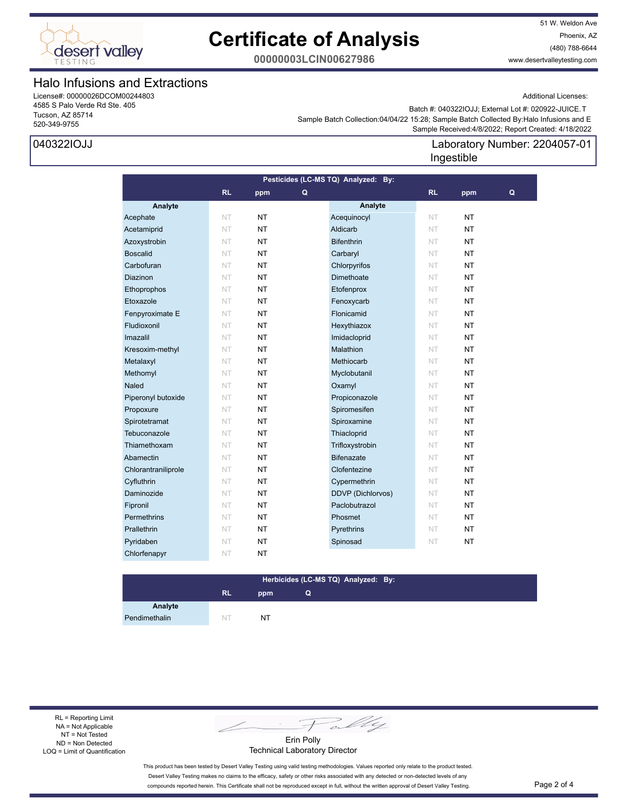

51 W. Weldon Ave Phoenix, AZ (480) 788-6644 www.desertvalleytesting.com

**00000003LCIN00627986**

### Halo Infusions and Extractions

License#: 00000026DCOM00244803 4585 S Palo Verde Rd Ste. 405 Tucson, AZ 85714 520-349-9755

### 040322IOJJ

Additional Licenses:

 Sample Received:4/8/2022; Report Created: 4/18/2022 Sample Batch Collection:04/04/22 15:28; Sample Batch Collected By:Halo Infusions and E Batch #: 040322IOJJ; External Lot #: 020922-JUICE.T

### Laboratory Number: 2204057-01 Ingestible

| Pesticides (LC-MS TQ) Analyzed: By: |           |           |   |                          |           |           |   |
|-------------------------------------|-----------|-----------|---|--------------------------|-----------|-----------|---|
|                                     | <b>RL</b> | ppm       | Q |                          | <b>RL</b> | ppm       | Q |
| Analyte                             |           |           |   | Analyte                  |           |           |   |
| Acephate                            | NT        | <b>NT</b> |   | Acequinocyl              | NT        | <b>NT</b> |   |
| Acetamiprid                         | NT        | <b>NT</b> |   | Aldicarb                 | NT        | <b>NT</b> |   |
| Azoxystrobin                        | NT        | <b>NT</b> |   | <b>Bifenthrin</b>        | <b>NT</b> | <b>NT</b> |   |
| <b>Boscalid</b>                     | <b>NT</b> | <b>NT</b> |   | Carbaryl                 | <b>NT</b> | <b>NT</b> |   |
| Carbofuran                          | NT        | <b>NT</b> |   | Chlorpyrifos             | <b>NT</b> | <b>NT</b> |   |
| Diazinon                            | NT        | <b>NT</b> |   | Dimethoate               | NT        | <b>NT</b> |   |
| Ethoprophos                         | NT        | <b>NT</b> |   | Etofenprox               | NT        | <b>NT</b> |   |
| Etoxazole                           | NT        | <b>NT</b> |   | Fenoxycarb               | NT        | <b>NT</b> |   |
| Fenpyroximate E                     | <b>NT</b> | <b>NT</b> |   | Flonicamid               | <b>NT</b> | <b>NT</b> |   |
| Fludioxonil                         | <b>NT</b> | <b>NT</b> |   | Hexythiazox              | <b>NT</b> | <b>NT</b> |   |
| Imazalil                            | NT        | <b>NT</b> |   | Imidacloprid             | <b>NT</b> | <b>NT</b> |   |
| Kresoxim-methyl                     | NT        | <b>NT</b> |   | Malathion                | NT        | <b>NT</b> |   |
| Metalaxyl                           | NT        | <b>NT</b> |   | Methiocarb               | NT        | <b>NT</b> |   |
| Methomyl                            | NT        | <b>NT</b> |   | Myclobutanil             | NT        | <b>NT</b> |   |
| <b>Naled</b>                        | NT        | NT.       |   | Oxamyl                   | NT        | <b>NT</b> |   |
| Piperonyl butoxide                  | NT        | <b>NT</b> |   | Propiconazole            | <b>NT</b> | <b>NT</b> |   |
| Propoxure                           | NT        | <b>NT</b> |   | Spiromesifen             | NT        | <b>NT</b> |   |
| Spirotetramat                       | NT        | <b>NT</b> |   | Spiroxamine              | NT        | <b>NT</b> |   |
| Tebuconazole                        | NT        | <b>NT</b> |   | Thiacloprid              | NT        | <b>NT</b> |   |
| Thiamethoxam                        | NT        | <b>NT</b> |   | Trifloxystrobin          | NT        | <b>NT</b> |   |
| Abamectin                           | <b>NT</b> | <b>NT</b> |   | <b>Bifenazate</b>        | <b>NT</b> | <b>NT</b> |   |
| Chlorantraniliprole                 | NT        | <b>NT</b> |   | Clofentezine             | <b>NT</b> | <b>NT</b> |   |
| Cyfluthrin                          | NT        | <b>NT</b> |   | Cypermethrin             | NT        | <b>NT</b> |   |
| Daminozide                          | NT        | <b>NT</b> |   | <b>DDVP</b> (Dichlorvos) | NT        | <b>NT</b> |   |
| Fipronil                            | NT        | <b>NT</b> |   | Paclobutrazol            | NT        | <b>NT</b> |   |
| Permethrins                         | NT        | <b>NT</b> |   | Phosmet                  | NT        | <b>NT</b> |   |
| Prallethrin                         | <b>NT</b> | <b>NT</b> |   | Pyrethrins               | <b>NT</b> | <b>NT</b> |   |
| Pyridaben                           | NT        | NT.       |   | Spinosad                 | NT        | <b>NT</b> |   |
| Chlorfenapyr                        | NT        | <b>NT</b> |   |                          |           |           |   |

#### **RL ppm Herbicides (LC-MS TQ) Analyzed: By: Q**

Pendimethalin NT NT NT

**Analyte**

RL = Reporting Limit NA = Not Applicable NT = Not Tested ND = Non Detected LOQ = Limit of Quantification

Fally

Erin Polly Technical Laboratory Director

This product has been tested by Desert Valley Testing using valid testing methodologies. Values reported only relate to the product tested. Desert Valley Testing makes no claims to the efficacy, safety or other risks associated with any detected or non-detected levels of any compounds reported herein. This Certificate shall not be reproduced except in full, without the written approval of Desert Valley Testing. Page 2 of 4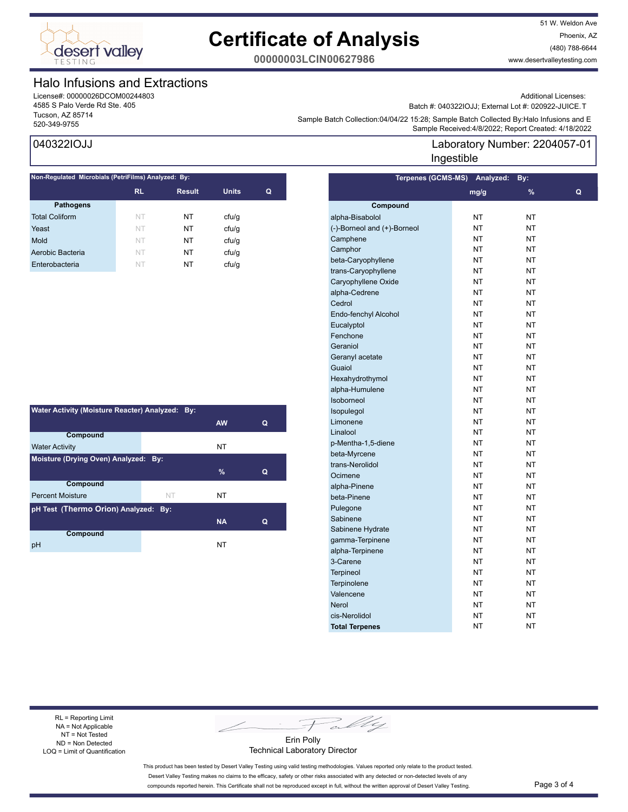

51 W. Weldon Ave Phoenix, AZ (480) 788-6644 www.desertvalleytesting.com

**00000003LCIN00627986**

### Halo Infusions and Extractions

License#: 00000026DCOM00244803 4585 S Palo Verde Rd Ste. 405 Tucson, AZ 85714

### 040322IOJJ

| Non-Regulated Microbials (PetriFilms) Analyzed: By: |           |               |              |   |  |  |
|-----------------------------------------------------|-----------|---------------|--------------|---|--|--|
|                                                     | <b>RL</b> | <b>Result</b> | <b>Units</b> | Q |  |  |
| <b>Pathogens</b>                                    |           |               |              |   |  |  |
| <b>Total Coliform</b>                               | NT        | NT            | cfu/q        |   |  |  |
| Yeast                                               | NT        | NT            | cfu/q        |   |  |  |
| Mold                                                | NT        | NT            | cfu/q        |   |  |  |
| Aerobic Bacteria                                    | NT        | NT            | cfu/q        |   |  |  |
| Enterobacteria                                      | NT        | NT            | ctu/g        |   |  |  |
|                                                     |           |               |              |   |  |  |

| Water Activity (Moisture Reacter) Analyzed: By: |    |           |   |  |  |
|-------------------------------------------------|----|-----------|---|--|--|
|                                                 |    | <b>AW</b> | Q |  |  |
| Compound                                        |    |           |   |  |  |
| <b>Water Activity</b>                           |    | NT        |   |  |  |
| Moisture (Drying Oven) Analyzed: By:            |    |           |   |  |  |
|                                                 |    | $\%$      | Q |  |  |
| <b>Compound</b>                                 |    |           |   |  |  |
| <b>Percent Moisture</b>                         | NT | NΤ        |   |  |  |
| pH Test (Thermo Orion) Analyzed: By:            |    |           |   |  |  |
|                                                 |    | <b>NA</b> | Q |  |  |
| Compound                                        |    |           |   |  |  |
| рH                                              |    | NT        |   |  |  |

Additional Licenses:

Batch #: 040322IOJJ; External Lot #: 020922-JUICE.T

Sample Batch Collection.04/04/22 10.26, Sample Batch Collection Server Batch 2012<br>Sample Received:4/8/2022; Report Created: 4/18/2022 Sample Batch Collection:04/04/22 15:28; Sample Batch Collected By:Halo Infusions and E

### Laboratory Number: 2204057-01 Ingestible

| <b>Terpenes (GCMS-MS)</b>   | Analyzed: | By:       |   |
|-----------------------------|-----------|-----------|---|
|                             | mg/g      | %         | Q |
| Compound                    |           |           |   |
| alpha-Bisabolol             | <b>NT</b> | <b>NT</b> |   |
| (-)-Borneol and (+)-Borneol | <b>NT</b> | <b>NT</b> |   |
| Camphene                    | <b>NT</b> | <b>NT</b> |   |
| Camphor                     | <b>NT</b> | <b>NT</b> |   |
| beta-Caryophyllene          | <b>NT</b> | <b>NT</b> |   |
| trans-Caryophyllene         | <b>NT</b> | <b>NT</b> |   |
| Caryophyllene Oxide         | <b>NT</b> | <b>NT</b> |   |
| alpha-Cedrene               | <b>NT</b> | <b>NT</b> |   |
| Cedrol                      | <b>NT</b> | <b>NT</b> |   |
| Endo-fenchyl Alcohol        | <b>NT</b> | <b>NT</b> |   |
| Eucalyptol                  | <b>NT</b> | NT        |   |
| Fenchone                    | <b>NT</b> | <b>NT</b> |   |
| Geraniol                    | <b>NT</b> | <b>NT</b> |   |
| Geranyl acetate             | <b>NT</b> | <b>NT</b> |   |
| Guaiol                      | <b>NT</b> | NT        |   |
| Hexahydrothymol             | <b>NT</b> | NT        |   |
| alpha-Humulene              | NT        | NT        |   |
| Isoborneol                  | <b>NT</b> | NT        |   |
| Isopulegol                  | ΝT        | NT        |   |
| Limonene                    | <b>NT</b> | NT        |   |
| Linalool                    | NT        | NT        |   |
| p-Mentha-1,5-diene          | <b>NT</b> | <b>NT</b> |   |
| beta-Myrcene                | <b>NT</b> | NT        |   |
| trans-Nerolidol             | NT        | NT        |   |
| Ocimene                     | NT        | NT        |   |
| alpha-Pinene                | <b>NT</b> | NT        |   |
| beta-Pinene                 | NT        | NT        |   |
| Pulegone                    | NT        | NT        |   |
| Sabinene                    | NT        | NT        |   |
| Sabinene Hydrate            | NT        | NT        |   |
| gamma-Terpinene             | ΝT        | NT        |   |
| alpha-Terpinene             | ΝT        | NT        |   |
| 3-Carene                    | ΝT        | NT        |   |
| <b>Terpineol</b>            | ΝT        | NT        |   |
| Terpinolene                 | ΝT        | ΝT        |   |
| Valencene                   | ΝT        | ΝT        |   |
| <b>Nerol</b>                | ΝT        | ΝT        |   |
| cis-Nerolidol               | NT        | NT        |   |
| <b>Total Terpenes</b>       | NΤ        | NΤ        |   |

RL = Reporting Limit NA = Not Applicable NT = Not Tested ND = Non Detected LOQ = Limit of Quantification

Fally

Erin Polly Technical Laboratory Director

This product has been tested by Desert Valley Testing using valid testing methodologies. Values reported only relate to the product tested. Desert Valley Testing makes no claims to the efficacy, safety or other risks associated with any detected or non-detected levels of any compounds reported herein. This Certificate shall not be reproduced except in full, without the written approval of Desert Valley Testing. Page 3 of 4